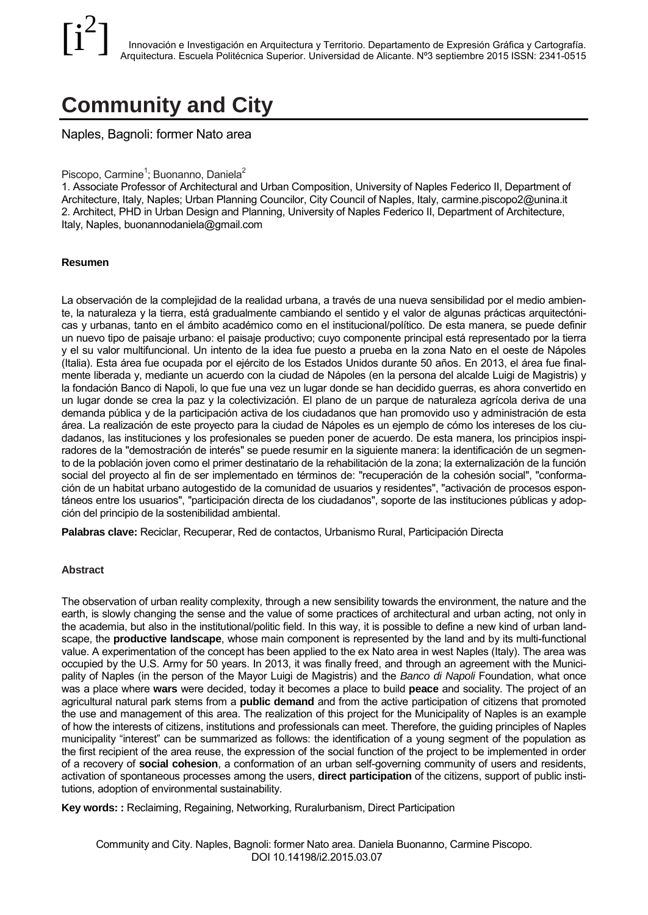# **Community and City**

Naples, Bagnoli: former Nato area

## Piscopo, Carmine<sup>1</sup>; Buonanno, Daniela<sup>2</sup>

1. Associate Professor of Architectural and Urban Composition, University of Naples Federico II, Department of Architecture, Italy, Naples; Urban Planning Councilor, City Council of Naples, Italy, carmine.piscopo2@unina.it 2. Architect, PHD in Urban Design and Planning, University of Naples Federico II, Department of Architecture, Italy, Naples, buonannodaniela@gmail.com

#### **Resumen**

La observación de la complejidad de la realidad urbana, a través de una nueva sensibilidad por el medio ambiente, la naturaleza y la tierra, está gradualmente cambiando el sentido y el valor de algunas prácticas arquitectónicas y urbanas, tanto en el ámbito académico como en el institucional/político. De esta manera, se puede definir un nuevo tipo de paisaje urbano: el paisaje productivo; cuyo componente principal está representado por la tierra y el su valor multifuncional. Un intento de la idea fue puesto a prueba en la zona Nato en el oeste de Nápoles (Italia). Esta área fue ocupada por el ejército de los Estados Unidos durante 50 años. En 2013, el área fue finalmente liberada y, mediante un acuerdo con la ciudad de Nápoles (en la persona del alcalde Luigi de Magistris) y la fondación Banco di Napoli, lo que fue una vez un lugar donde se han decidido guerras, es ahora convertido en un lugar donde se crea la paz y la colectivización. El plano de un parque de naturaleza agrícola deriva de una demanda pública y de la participación activa de los ciudadanos que han promovido uso y administración de esta área. La realización de este proyecto para la ciudad de Nápoles es un ejemplo de cómo los intereses de los ciudadanos, las instituciones y los profesionales se pueden poner de acuerdo. De esta manera, los principios inspiradores de la "demostración de interés" se puede resumir en la siguiente manera: la identificación de un segmento de la población joven como el primer destinatario de la rehabilitación de la zona; la externalización de la función social del proyecto al fin de ser implementado en términos de: "recuperación de la cohesión social", "conformación de un habitat urbano autogestido de la comunidad de usuarios y residentes", "activación de procesos espontáneos entre los usuarios", "participación directa de los ciudadanos", soporte de las instituciones públicas y adopción del principio de la sostenibilidad ambiental.

**Palabras clave:** Reciclar, Recuperar, Red de contactos, Urbanismo Rural, Participación Directa

#### **Abstract**

The observation of urban reality complexity, through a new sensibility towards the environment, the nature and the earth, is slowly changing the sense and the value of some practices of architectural and urban acting, not only in the academia, but also in the institutional/politic field. In this way, it is possible to define a new kind of urban landscape, the **productive landscape**, whose main component is represented by the land and by its multi-functional value. A experimentation of the concept has been applied to the ex Nato area in west Naples (Italy). The area was occupied by the U.S. Army for 50 years. In 2013, it was finally freed, and through an agreement with the Municipality of Naples (in the person of the Mayor Luigi de Magistris) and the *Banco di Napoli* Foundation, what once was a place where **wars** were decided, today it becomes a place to build **peace** and sociality. The project of an agricultural natural park stems from a **public demand** and from the active participation of citizens that promoted the use and management of this area. The realization of this project for the Municipality of Naples is an example of how the interests of citizens, institutions and professionals can meet. Therefore, the guiding principles of Naples municipality "interest" can be summarized as follows: the identification of a young segment of the population as the first recipient of the area reuse, the expression of the social function of the project to be implemented in order of a recovery of **social cohesion**, a conformation of an urban self-governing community of users and residents, activation of spontaneous processes among the users, **direct participation** of the citizens, support of public institutions, adoption of environmental sustainability.

**Key words: :** Reclaiming, Regaining, Networking, Ruralurbanism, Direct Participation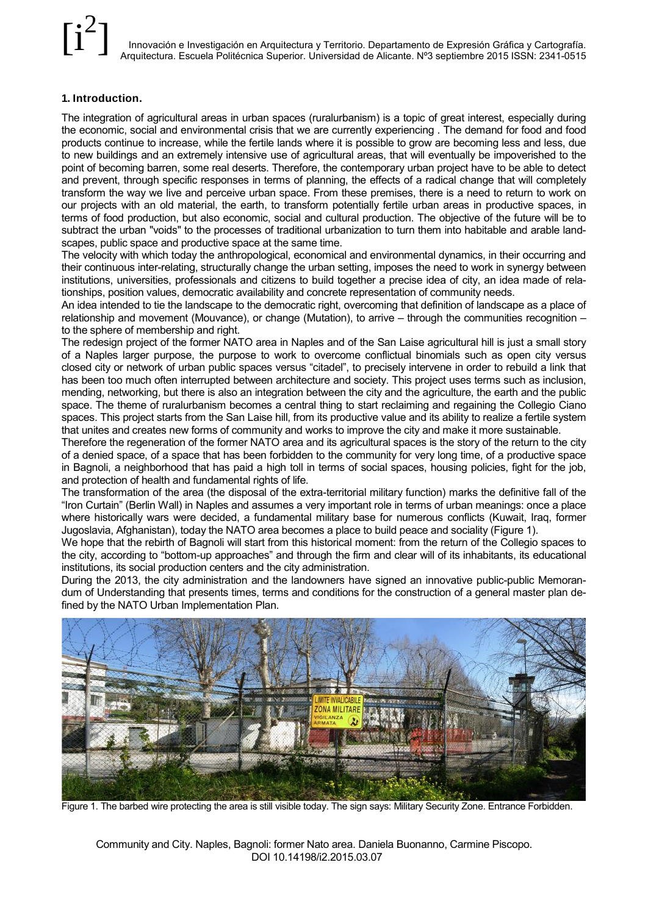#### **1. Introduction.**

The integration of agricultural areas in urban spaces (ruralurbanism) is a topic of great interest, especially during the economic, social and environmental crisis that we are currently experiencing . The demand for food and food products continue to increase, while the fertile lands where it is possible to grow are becoming less and less, due to new buildings and an extremely intensive use of agricultural areas, that will eventually be impoverished to the point of becoming barren, some real deserts. Therefore, the contemporary urban project have to be able to detect and prevent, through specific responses in terms of planning, the effects of a radical change that will completely transform the way we live and perceive urban space. From these premises, there is a need to return to work on our projects with an old material, the earth, to transform potentially fertile urban areas in productive spaces, in terms of food production, but also economic, social and cultural production. The objective of the future will be to subtract the urban "voids" to the processes of traditional urbanization to turn them into habitable and arable landscapes, public space and productive space at the same time.

The velocity with which today the anthropological, economical and environmental dynamics, in their occurring and their continuous inter-relating, structurally change the urban setting, imposes the need to work in synergy between institutions, universities, professionals and citizens to build together a precise idea of city, an idea made of relationships, position values, democratic availability and concrete representation of community needs.

An idea intended to tie the landscape to the democratic right, overcoming that definition of landscape as a place of relationship and movement (Mouvance), or change (Mutation), to arrive – through the communities recognition – to the sphere of membership and right.

The redesign project of the former NATO area in Naples and of the San Laise agricultural hill is just a small story of a Naples larger purpose, the purpose to work to overcome conflictual binomials such as open city versus closed city or network of urban public spaces versus "citadel", to precisely intervene in order to rebuild a link that has been too much often interrupted between architecture and society. This project uses terms such as inclusion, mending, networking, but there is also an integration between the city and the agriculture, the earth and the public space. The theme of ruralurbanism becomes a central thing to start reclaiming and regaining the Collegio Ciano spaces. This project starts from the San Laise hill, from its productive value and its ability to realize a fertile system that unites and creates new forms of community and works to improve the city and make it more sustainable.

Therefore the regeneration of the former NATO area and its agricultural spaces is the story of the return to the city of a denied space, of a space that has been forbidden to the community for very long time, of a productive space in Bagnoli, a neighborhood that has paid a high toll in terms of social spaces, housing policies, fight for the job, and protection of health and fundamental rights of life.

The transformation of the area (the disposal of the extra-territorial military function) marks the definitive fall of the "Iron Curtain" (Berlin Wall) in Naples and assumes a very important role in terms of urban meanings: once a place where historically wars were decided, a fundamental military base for numerous conflicts (Kuwait, Iraq, former Jugoslavia, Afghanistan), today the NATO area becomes a place to build peace and sociality (Figure 1).

We hope that the rebirth of Bagnoli will start from this historical moment: from the return of the Collegio spaces to the city, according to "bottom-up approaches" and through the firm and clear will of its inhabitants, its educational institutions, its social production centers and the city administration.

During the 2013, the city administration and the landowners have signed an innovative public-public Memorandum of Understanding that presents times, terms and conditions for the construction of a general master plan defined by the NATO Urban Implementation Plan.



Figure 1. The barbed wire protecting the area is still visible today. The sign says: Military Security Zone. Entrance Forbidden.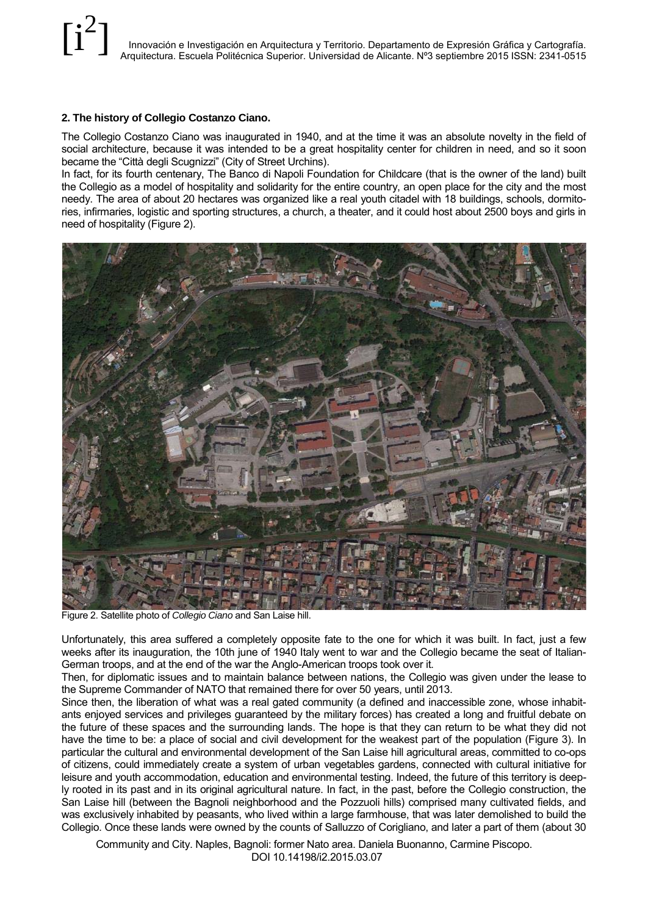#### **2. The history of Collegio Costanzo Ciano.**

The Collegio Costanzo Ciano was inaugurated in 1940, and at the time it was an absolute novelty in the field of social architecture, because it was intended to be a great hospitality center for children in need, and so it soon became the "Città degli Scugnizzi" (City of Street Urchins).

In fact, for its fourth centenary, The Banco di Napoli Foundation for Childcare (that is the owner of the land) built the Collegio as a model of hospitality and solidarity for the entire country, an open place for the city and the most needy. The area of about 20 hectares was organized like a real youth citadel with 18 buildings, schools, dormitories, infirmaries, logistic and sporting structures, a church, a theater, and it could host about 2500 boys and girls in need of hospitality (Figure 2).



Figure 2. Satellite photo of *Collegio Ciano* and San Laise hill.

Unfortunately, this area suffered a completely opposite fate to the one for which it was built. In fact, just a few weeks after its inauguration, the 10th june of 1940 Italy went to war and the Collegio became the seat of Italian-German troops, and at the end of the war the Anglo-American troops took over it.

Then, for diplomatic issues and to maintain balance between nations, the Collegio was given under the lease to the Supreme Commander of NATO that remained there for over 50 years, until 2013.

Since then, the liberation of what was a real gated community (a defined and inaccessible zone, whose inhabitants enjoyed services and privileges guaranteed by the military forces) has created a long and fruitful debate on the future of these spaces and the surrounding lands. The hope is that they can return to be what they did not have the time to be: a place of social and civil development for the weakest part of the population (Figure 3). In particular the cultural and environmental development of the San Laise hill agricultural areas, committed to co-ops of citizens, could immediately create a system of urban vegetables gardens, connected with cultural initiative for leisure and youth accommodation, education and environmental testing. Indeed, the future of this territory is deeply rooted in its past and in its original agricultural nature. In fact, in the past, before the Collegio construction, the San Laise hill (between the Bagnoli neighborhood and the Pozzuoli hills) comprised many cultivated fields, and was exclusively inhabited by peasants, who lived within a large farmhouse, that was later demolished to build the Collegio. Once these lands were owned by the counts of Salluzzo of Corigliano, and later a part of them (about 30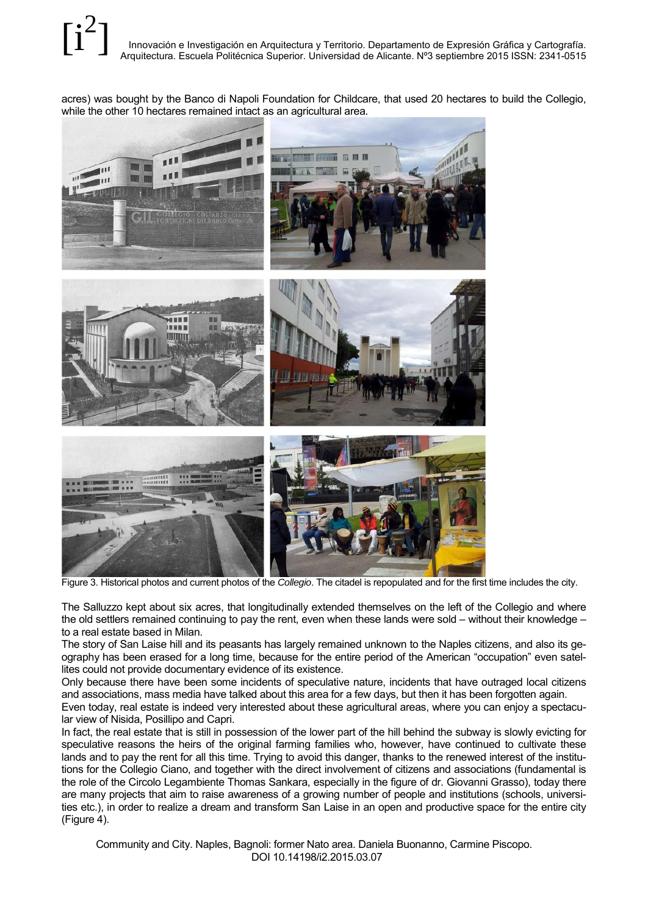acres) was bought by the Banco di Napoli Foundation for Childcare, that used 20 hectares to build the Collegio, while the other 10 hectares remained intact as an agricultural area.



Figure 3. Historical photos and current photos of the *Collegio*. The citadel is repopulated and for the first time includes the city.

The Salluzzo kept about six acres, that longitudinally extended themselves on the left of the Collegio and where the old settlers remained continuing to pay the rent, even when these lands were sold – without their knowledge – to a real estate based in Milan.

The story of San Laise hill and its peasants has largely remained unknown to the Naples citizens, and also its geography has been erased for a long time, because for the entire period of the American "occupation" even satellites could not provide documentary evidence of its existence.

Only because there have been some incidents of speculative nature, incidents that have outraged local citizens and associations, mass media have talked about this area for a few days, but then it has been forgotten again.

Even today, real estate is indeed very interested about these agricultural areas, where you can enjoy a spectacular view of Nisida, Posillipo and Capri.

In fact, the real estate that is still in possession of the lower part of the hill behind the subway is slowly evicting for speculative reasons the heirs of the original farming families who, however, have continued to cultivate these lands and to pay the rent for all this time. Trying to avoid this danger, thanks to the renewed interest of the institutions for the Collegio Ciano, and together with the direct involvement of citizens and associations (fundamental is the role of the Circolo Legambiente Thomas Sankara, especially in the figure of dr. Giovanni Grasso), today there are many projects that aim to raise awareness of a growing number of people and institutions (schools, universities etc.), in order to realize a dream and transform San Laise in an open and productive space for the entire city (Figure 4).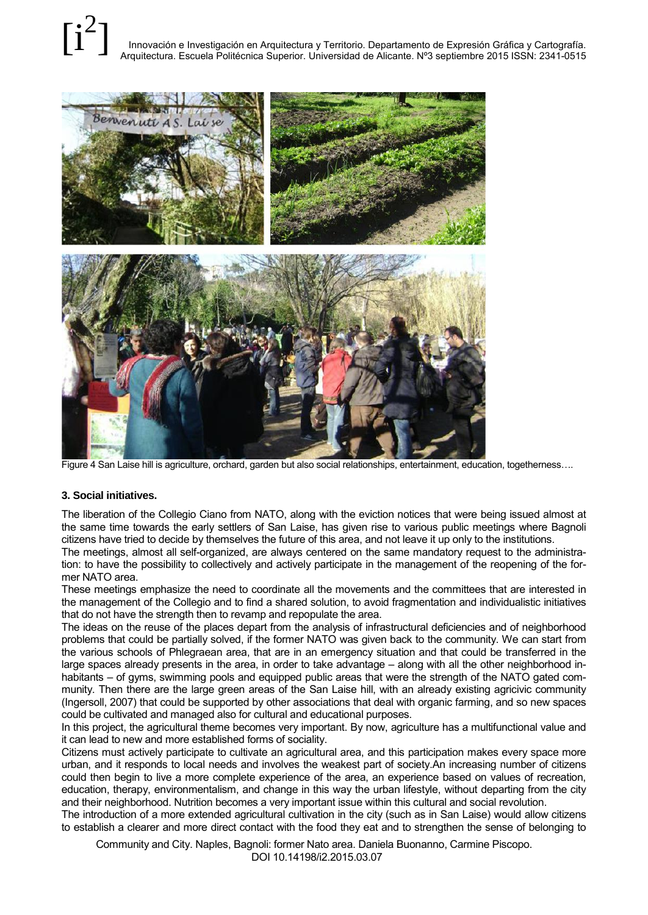#### Innovación e Investigación en Arquitectura y Territorio. Departamento de Expresión Gráfica y Cartografía. Arquitectura. Escuela Politécnica Superior. Universidad de Alicante. Nº3 septiembre 2015 ISSN: 2341-0515 [i 2 ]



Figure 4 San Laise hill is agriculture, orchard, garden but also social relationships, entertainment, education, togetherness….

#### **3. Social initiatives.**

The liberation of the Collegio Ciano from NATO, along with the eviction notices that were being issued almost at the same time towards the early settlers of San Laise, has given rise to various public meetings where Bagnoli citizens have tried to decide by themselves the future of this area, and not leave it up only to the institutions.

The meetings, almost all self-organized, are always centered on the same mandatory request to the administration: to have the possibility to collectively and actively participate in the management of the reopening of the former NATO area.

These meetings emphasize the need to coordinate all the movements and the committees that are interested in the management of the Collegio and to find a shared solution, to avoid fragmentation and individualistic initiatives that do not have the strength then to revamp and repopulate the area.

The ideas on the reuse of the places depart from the analysis of infrastructural deficiencies and of neighborhood problems that could be partially solved, if the former NATO was given back to the community. We can start from the various schools of Phlegraean area, that are in an emergency situation and that could be transferred in the large spaces already presents in the area, in order to take advantage – along with all the other neighborhood inhabitants – of gyms, swimming pools and equipped public areas that were the strength of the NATO gated community. Then there are the large green areas of the San Laise hill, with an already existing agricivic community (Ingersoll, 2007) that could be supported by other associations that deal with organic farming, and so new spaces could be cultivated and managed also for cultural and educational purposes.

In this project, the agricultural theme becomes very important. By now, agriculture has a multifunctional value and it can lead to new and more established forms of sociality.

Citizens must actively participate to cultivate an agricultural area, and this participation makes every space more urban, and it responds to local needs and involves the weakest part of society.An increasing number of citizens could then begin to live a more complete experience of the area, an experience based on values of recreation, education, therapy, environmentalism, and change in this way the urban lifestyle, without departing from the city and their neighborhood. Nutrition becomes a very important issue within this cultural and social revolution.

The introduction of a more extended agricultural cultivation in the city (such as in San Laise) would allow citizens to establish a clearer and more direct contact with the food they eat and to strengthen the sense of belonging to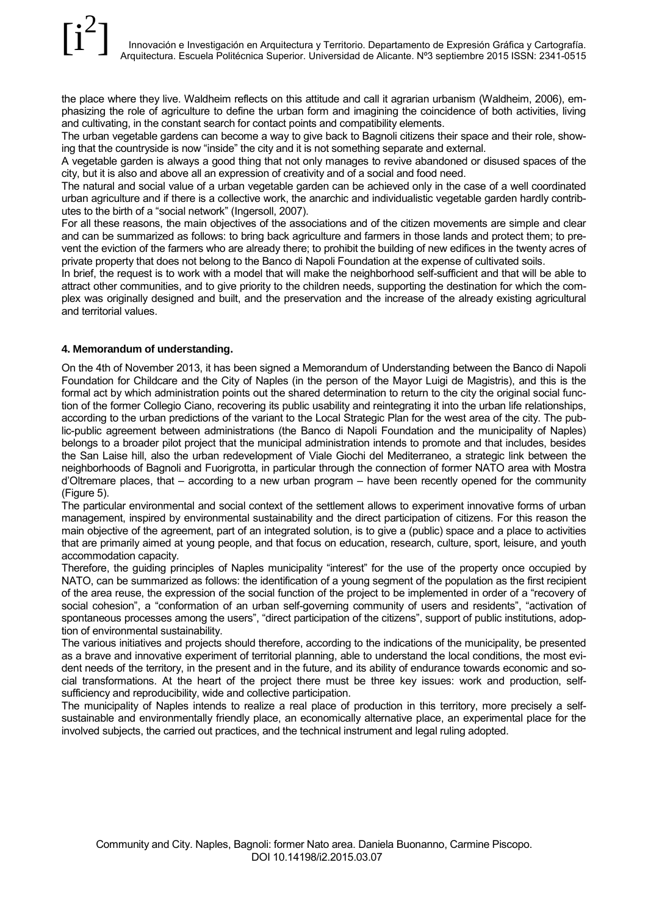the place where they live. Waldheim reflects on this attitude and call it agrarian urbanism (Waldheim, 2006), emphasizing the role of agriculture to define the urban form and imagining the coincidence of both activities, living and cultivating, in the constant search for contact points and compatibility elements.

The urban vegetable gardens can become a way to give back to Bagnoli citizens their space and their role, showing that the countryside is now "inside" the city and it is not something separate and external.

A vegetable garden is always a good thing that not only manages to revive abandoned or disused spaces of the city, but it is also and above all an expression of creativity and of a social and food need.

The natural and social value of a urban vegetable garden can be achieved only in the case of a well coordinated urban agriculture and if there is a collective work, the anarchic and individualistic vegetable garden hardly contributes to the birth of a "social network" (Ingersoll, 2007).

For all these reasons, the main objectives of the associations and of the citizen movements are simple and clear and can be summarized as follows: to bring back agriculture and farmers in those lands and protect them; to prevent the eviction of the farmers who are already there; to prohibit the building of new edifices in the twenty acres of private property that does not belong to the Banco di Napoli Foundation at the expense of cultivated soils.

In brief, the request is to work with a model that will make the neighborhood self-sufficient and that will be able to attract other communities, and to give priority to the children needs, supporting the destination for which the complex was originally designed and built, and the preservation and the increase of the already existing agricultural and territorial values.

### **4. Memorandum of understanding.**

On the 4th of November 2013, it has been signed a Memorandum of Understanding between the Banco di Napoli Foundation for Childcare and the City of Naples (in the person of the Mayor Luigi de Magistris), and this is the formal act by which administration points out the shared determination to return to the city the original social function of the former Collegio Ciano, recovering its public usability and reintegrating it into the urban life relationships, according to the urban predictions of the variant to the Local Strategic Plan for the west area of the city. The public-public agreement between administrations (the Banco di Napoli Foundation and the municipality of Naples) belongs to a broader pilot project that the municipal administration intends to promote and that includes, besides the San Laise hill, also the urban redevelopment of Viale Giochi del Mediterraneo, a strategic link between the neighborhoods of Bagnoli and Fuorigrotta, in particular through the connection of former NATO area with Mostra d'Oltremare places, that – according to a new urban program – have been recently opened for the community (Figure 5).

The particular environmental and social context of the settlement allows to experiment innovative forms of urban management, inspired by environmental sustainability and the direct participation of citizens. For this reason the main objective of the agreement, part of an integrated solution, is to give a (public) space and a place to activities that are primarily aimed at young people, and that focus on education, research, culture, sport, leisure, and youth accommodation capacity.

Therefore, the guiding principles of Naples municipality "interest" for the use of the property once occupied by NATO, can be summarized as follows: the identification of a young segment of the population as the first recipient of the area reuse, the expression of the social function of the project to be implemented in order of a "recovery of social cohesion", a "conformation of an urban self-governing community of users and residents", "activation of spontaneous processes among the users", "direct participation of the citizens", support of public institutions, adoption of environmental sustainability.

The various initiatives and projects should therefore, according to the indications of the municipality, be presented as a brave and innovative experiment of territorial planning, able to understand the local conditions, the most evident needs of the territory, in the present and in the future, and its ability of endurance towards economic and social transformations. At the heart of the project there must be three key issues: work and production, selfsufficiency and reproducibility, wide and collective participation.

The municipality of Naples intends to realize a real place of production in this territory, more precisely a selfsustainable and environmentally friendly place, an economically alternative place, an experimental place for the involved subjects, the carried out practices, and the technical instrument and legal ruling adopted.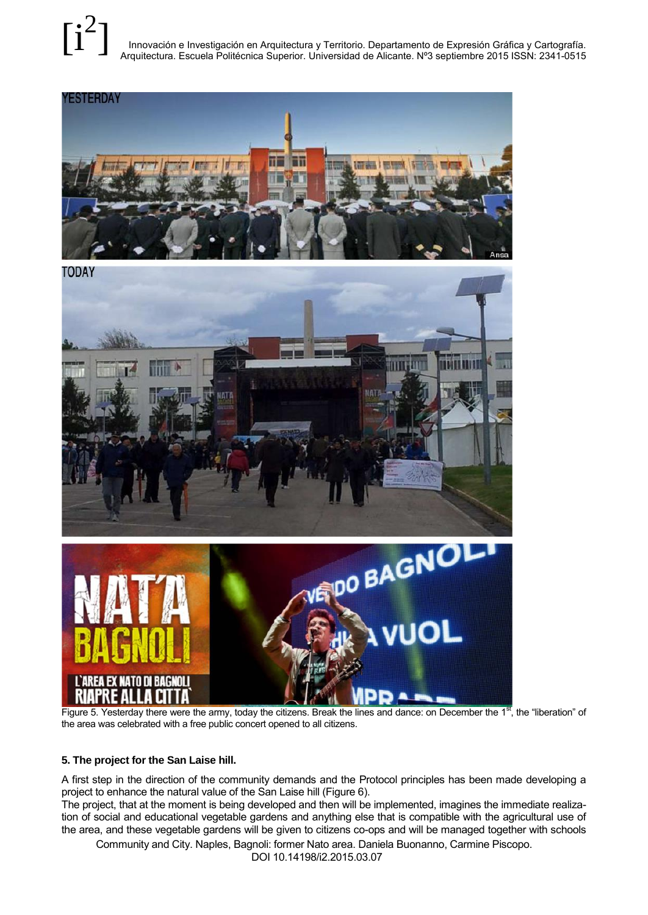Innovación e Investigación en Arquitectura y Territorio. Departamento de Expresión Gráfica y Cartografía. Arquitectura. Escuela Politécnica Superior. Universidad de Alicante. Nº3 septiembre 2015 ISSN: 2341-0515  $[i^2]$ 







Figure 5. Yesterday there were the army, today the citizens. Break the lines and dance: on December the  $1<sup>st</sup>$ , the "liberation" of the area was celebrated with a free public concert opened to all citizens.

#### **5. The project for the San Laise hill.**

A first step in the direction of the community demands and the Protocol principles has been made developing a project to enhance the natural value of the San Laise hill (Figure 6).

The project, that at the moment is being developed and then will be implemented, imagines the immediate realization of social and educational vegetable gardens and anything else that is compatible with the agricultural use of the area, and these vegetable gardens will be given to citizens co-ops and will be managed together with schools

Community and City. Naples, Bagnoli: former Nato area. Daniela Buonanno, Carmine Piscopo.

DOI 10.14198/i2.2015.03.07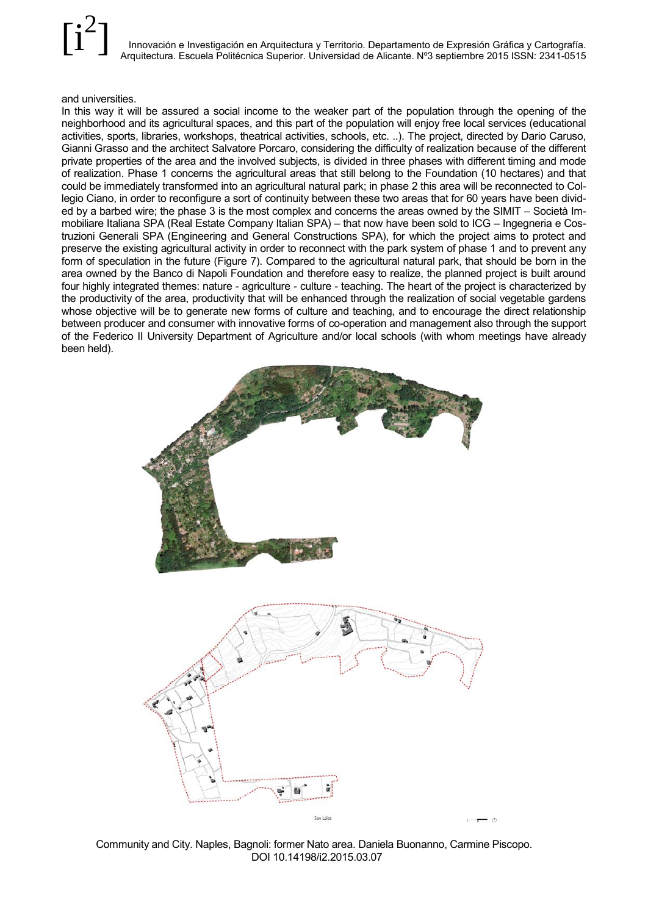#### and universities.

In this way it will be assured a social income to the weaker part of the population through the opening of the neighborhood and its agricultural spaces, and this part of the population will enjoy free local services (educational activities, sports, libraries, workshops, theatrical activities, schools, etc. ..). The project, directed by Dario Caruso, Gianni Grasso and the architect Salvatore Porcaro, considering the difficulty of realization because of the different private properties of the area and the involved subjects, is divided in three phases with different timing and mode of realization. Phase 1 concerns the agricultural areas that still belong to the Foundation (10 hectares) and that could be immediately transformed into an agricultural natural park; in phase 2 this area will be reconnected to Collegio Ciano, in order to reconfigure a sort of continuity between these two areas that for 60 years have been divided by a barbed wire; the phase 3 is the most complex and concerns the areas owned by the SIMIT – Società Immobiliare Italiana SPA (Real Estate Company Italian SPA) – that now have been sold to ICG – Ingegneria e Costruzioni Generali SPA (Engineering and General Constructions SPA), for which the project aims to protect and preserve the existing agricultural activity in order to reconnect with the park system of phase 1 and to prevent any form of speculation in the future (Figure 7). Compared to the agricultural natural park, that should be born in the area owned by the Banco di Napoli Foundation and therefore easy to realize, the planned project is built around four highly integrated themes: nature - agriculture - culture - teaching. The heart of the project is characterized by the productivity of the area, productivity that will be enhanced through the realization of social vegetable gardens whose objective will be to generate new forms of culture and teaching, and to encourage the direct relationship between producer and consumer with innovative forms of co-operation and management also through the support of the Federico II University Department of Agriculture and/or local schools (with whom meetings have already been held).



Community and City. Naples, Bagnoli: former Nato area. Daniela Buonanno, Carmine Piscopo. DOI 10.14198/i2.2015.03.07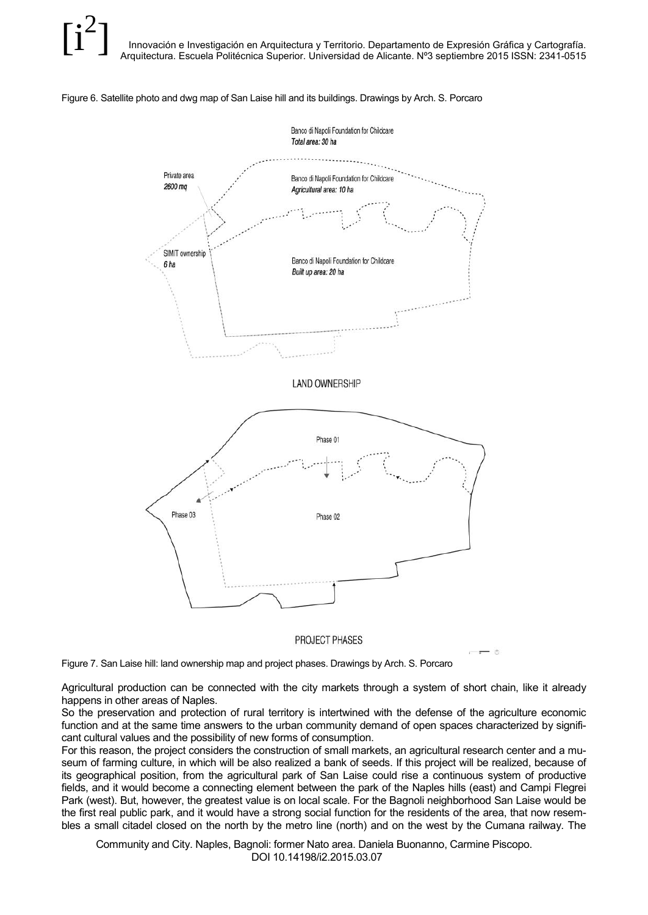



PROJECT PHASES

Figure 7. San Laise hill: land ownership map and project phases. Drawings by Arch. S. Porcaro

Agricultural production can be connected with the city markets through a system of short chain, like it already happens in other areas of Naples.

So the preservation and protection of rural territory is intertwined with the defense of the agriculture economic function and at the same time answers to the urban community demand of open spaces characterized by significant cultural values and the possibility of new forms of consumption.

For this reason, the project considers the construction of small markets, an agricultural research center and a museum of farming culture, in which will be also realized a bank of seeds. If this project will be realized, because of its geographical position, from the agricultural park of San Laise could rise a continuous system of productive fields, and it would become a connecting element between the park of the Naples hills (east) and Campi Flegrei Park (west). But, however, the greatest value is on local scale. For the Bagnoli neighborhood San Laise would be the first real public park, and it would have a strong social function for the residents of the area, that now resembles a small citadel closed on the north by the metro line (north) and on the west by the Cumana railway. The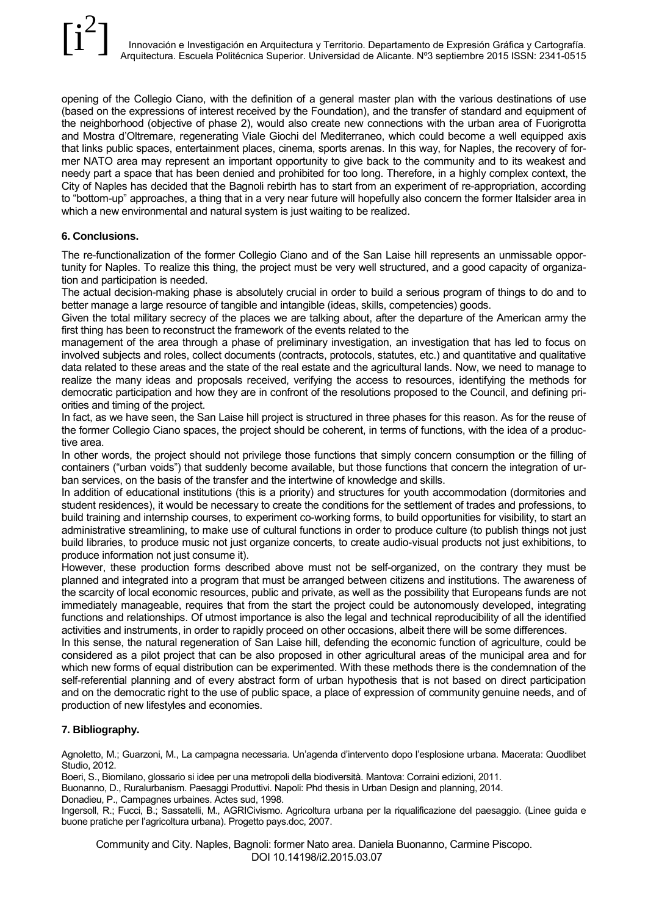opening of the Collegio Ciano, with the definition of a general master plan with the various destinations of use (based on the expressions of interest received by the Foundation), and the transfer of standard and equipment of the neighborhood (objective of phase 2), would also create new connections with the urban area of Fuorigrotta and Mostra d'Oltremare, regenerating Viale Giochi del Mediterraneo, which could become a well equipped axis that links public spaces, entertainment places, cinema, sports arenas. In this way, for Naples, the recovery of former NATO area may represent an important opportunity to give back to the community and to its weakest and needy part a space that has been denied and prohibited for too long. Therefore, in a highly complex context, the City of Naples has decided that the Bagnoli rebirth has to start from an experiment of re-appropriation, according to "bottom-up" approaches, a thing that in a very near future will hopefully also concern the former Italsider area in which a new environmental and natural system is just waiting to be realized.

### **6. Conclusions.**

The re-functionalization of the former Collegio Ciano and of the San Laise hill represents an unmissable opportunity for Naples. To realize this thing, the project must be very well structured, and a good capacity of organization and participation is needed.

The actual decision-making phase is absolutely crucial in order to build a serious program of things to do and to better manage a large resource of tangible and intangible (ideas, skills, competencies) goods.

Given the total military secrecy of the places we are talking about, after the departure of the American army the first thing has been to reconstruct the framework of the events related to the

management of the area through a phase of preliminary investigation, an investigation that has led to focus on involved subjects and roles, collect documents (contracts, protocols, statutes, etc.) and quantitative and qualitative data related to these areas and the state of the real estate and the agricultural lands. Now, we need to manage to realize the many ideas and proposals received, verifying the access to resources, identifying the methods for democratic participation and how they are in confront of the resolutions proposed to the Council, and defining priorities and timing of the project.

In fact, as we have seen, the San Laise hill project is structured in three phases for this reason. As for the reuse of the former Collegio Ciano spaces, the project should be coherent, in terms of functions, with the idea of a productive area.

In other words, the project should not privilege those functions that simply concern consumption or the filling of containers ("urban voids") that suddenly become available, but those functions that concern the integration of urban services, on the basis of the transfer and the intertwine of knowledge and skills.

In addition of educational institutions (this is a priority) and structures for youth accommodation (dormitories and student residences), it would be necessary to create the conditions for the settlement of trades and professions, to build training and internship courses, to experiment co-working forms, to build opportunities for visibility, to start an administrative streamlining, to make use of cultural functions in order to produce culture (to publish things not just build libraries, to produce music not just organize concerts, to create audio-visual products not just exhibitions, to produce information not just consume it).

However, these production forms described above must not be self-organized, on the contrary they must be planned and integrated into a program that must be arranged between citizens and institutions. The awareness of the scarcity of local economic resources, public and private, as well as the possibility that Europeans funds are not immediately manageable, requires that from the start the project could be autonomously developed, integrating functions and relationships. Of utmost importance is also the legal and technical reproducibility of all the identified activities and instruments, in order to rapidly proceed on other occasions, albeit there will be some differences.

In this sense, the natural regeneration of San Laise hill, defending the economic function of agriculture, could be considered as a pilot project that can be also proposed in other agricultural areas of the municipal area and for which new forms of equal distribution can be experimented. With these methods there is the condemnation of the self-referential planning and of every abstract form of urban hypothesis that is not based on direct participation and on the democratic right to the use of public space, a place of expression of community genuine needs, and of production of new lifestyles and economies.

### **7. Bibliography.**

Agnoletto, M.; Guarzoni, M., La campagna necessaria. Un'agenda d'intervento dopo l'esplosione urbana. Macerata: Quodlibet Studio, 2012.

Boeri, S., Biomilano, glossario si idee per una metropoli della biodiversità. Mantova: Corraini edizioni, 2011.

Buonanno, D., Ruralurbanism. Paesaggi Produttivi. Napoli: Phd thesis in Urban Design and planning, 2014.

Donadieu, P., Campagnes urbaines. Actes sud, 1998.

Ingersoll, R.; Fucci, B.; Sassatelli, M., AGRICivismo. Agricoltura urbana per la riqualificazione del paesaggio. (Linee guida e buone pratiche per l'agricoltura urbana). Progetto pays.doc, 2007.